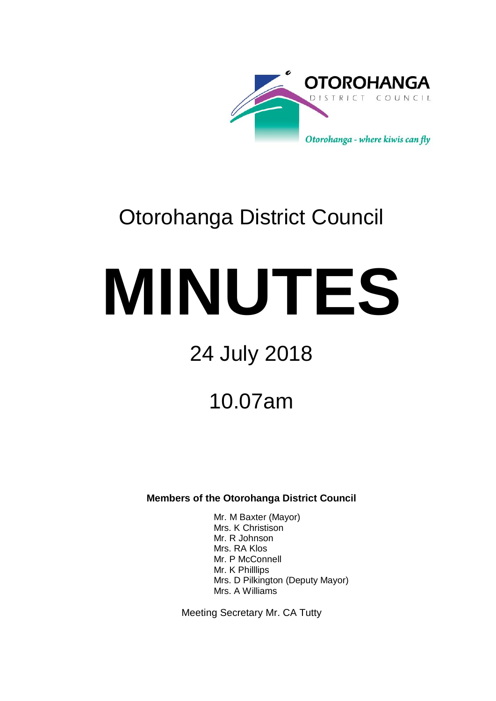

# Otorohanga District Council

# **MINUTES**

# 24 July 2018

# 10.07am

**Members of the Otorohanga District Council**

Mr. M Baxter (Mayor) Mrs. K Christison Mr. R Johnson Mrs. RA Klos Mr. P McConnell Mr. K Philllips Mrs. D Pilkington (Deputy Mayor) Mrs. A Williams

Meeting Secretary Mr. CA Tutty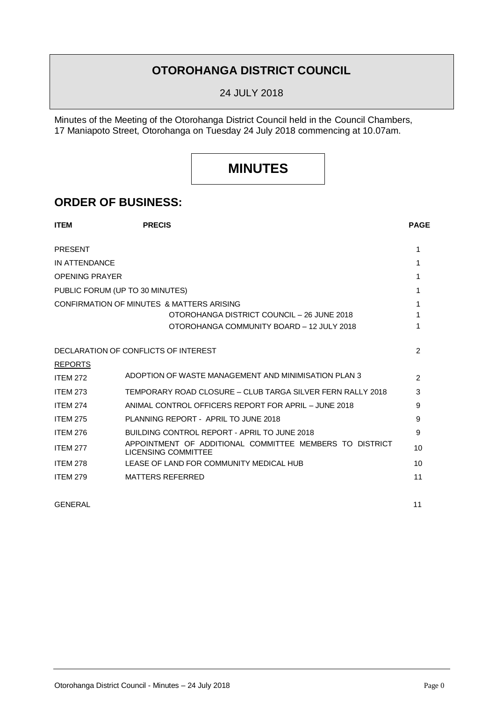## **OTOROHANGA DISTRICT COUNCIL**

24 JULY 2018

Minutes of the Meeting of the Otorohanga District Council held in the Council Chambers, 17 Maniapoto Street, Otorohanga on Tuesday 24 July 2018 commencing at 10.07am.

## **MINUTES**

## **ORDER OF BUSINESS:**

| <b>ITEM</b>           | <b>PRECIS</b>                                                                         |    |
|-----------------------|---------------------------------------------------------------------------------------|----|
| <b>PRESENT</b>        |                                                                                       | 1  |
| IN ATTENDANCE         |                                                                                       | 1  |
| <b>OPENING PRAYER</b> |                                                                                       | 1  |
|                       | PUBLIC FORUM (UP TO 30 MINUTES)                                                       | 1  |
|                       | CONFIRMATION OF MINUTES & MATTERS ARISING                                             | 1  |
|                       | OTOROHANGA DISTRICT COUNCIL - 26 JUNE 2018                                            | 1  |
|                       | OTOROHANGA COMMUNITY BOARD - 12 JULY 2018                                             | 1  |
|                       | DECLARATION OF CONFLICTS OF INTEREST                                                  | 2  |
| <b>REPORTS</b>        |                                                                                       |    |
| <b>ITEM 272</b>       | ADOPTION OF WASTE MANAGEMENT AND MINIMISATION PLAN 3                                  | 2  |
| <b>ITEM 273</b>       | TEMPORARY ROAD CLOSURE – CLUB TARGA SILVER FERN RALLY 2018                            | 3  |
| <b>ITEM 274</b>       | ANIMAL CONTROL OFFICERS REPORT FOR APRIL - JUNE 2018                                  | 9  |
| <b>ITEM 275</b>       | PLANNING REPORT - APRIL TO JUNE 2018                                                  | 9  |
| <b>ITEM 276</b>       | BUILDING CONTROL REPORT - APRIL TO JUNE 2018                                          | 9  |
| <b>ITEM 277</b>       | APPOINTMENT OF ADDITIONAL COMMITTEE MEMBERS TO DISTRICT<br><b>LICENSING COMMITTEE</b> | 10 |
| <b>ITEM 278</b>       | LEASE OF LAND FOR COMMUNITY MEDICAL HUB                                               | 10 |
| <b>ITEM 279</b>       | <b>MATTERS REFERRED</b>                                                               | 11 |
| <b>GENERAL</b>        |                                                                                       | 11 |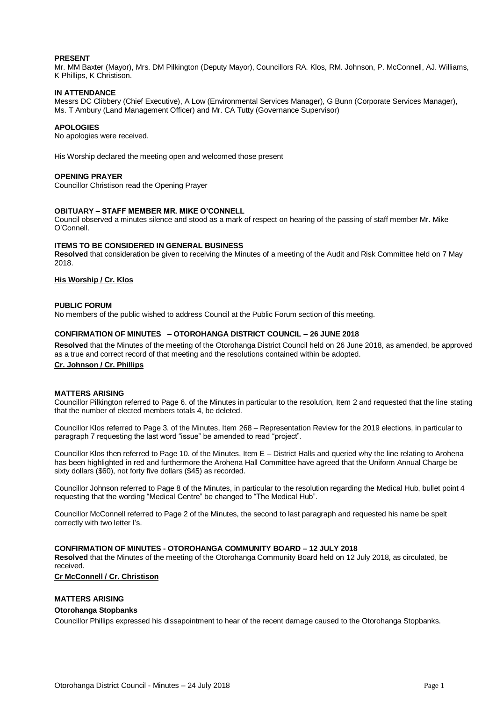#### **PRESENT**

Mr. MM Baxter (Mayor), Mrs. DM Pilkington (Deputy Mayor), Councillors RA. Klos, RM. Johnson, P. McConnell, AJ. Williams, K Phillips, K Christison.

#### **IN ATTENDANCE**

Messrs DC Clibbery (Chief Executive), A Low (Environmental Services Manager), G Bunn (Corporate Services Manager), Ms. T Ambury (Land Management Officer) and Mr. CA Tutty (Governance Supervisor)

#### **APOLOGIES**

No apologies were received.

His Worship declared the meeting open and welcomed those present

#### **OPENING PRAYER**

Councillor Christison read the Opening Prayer

#### **OBITUARY – STAFF MEMBER MR. MIKE O'CONNELL**

Council observed a minutes silence and stood as a mark of respect on hearing of the passing of staff member Mr. Mike O'Connell.

#### **ITEMS TO BE CONSIDERED IN GENERAL BUSINESS**

**Resolved** that consideration be given to receiving the Minutes of a meeting of the Audit and Risk Committee held on 7 May 2018.

#### **His Worship / Cr. Klos**

#### **PUBLIC FORUM**

No members of the public wished to address Council at the Public Forum section of this meeting.

#### **CONFIRMATION OF MINUTES – OTOROHANGA DISTRICT COUNCIL – 26 JUNE 2018**

**Resolved** that the Minutes of the meeting of the Otorohanga District Council held on 26 June 2018, as amended, be approved as a true and correct record of that meeting and the resolutions contained within be adopted.

#### **Cr. Johnson / Cr. Phillips**

#### **MATTERS ARISING**

Councillor Pilkington referred to Page 6. of the Minutes in particular to the resolution, Item 2 and requested that the line stating that the number of elected members totals 4, be deleted.

Councillor Klos referred to Page 3. of the Minutes, Item 268 – Representation Review for the 2019 elections, in particular to paragraph 7 requesting the last word "issue" be amended to read "project".

Councillor Klos then referred to Page 10. of the Minutes, Item E – District Halls and queried why the line relating to Arohena has been highlighted in red and furthermore the Arohena Hall Committee have agreed that the Uniform Annual Charge be sixty dollars (\$60), not forty five dollars (\$45) as recorded.

Councillor Johnson referred to Page 8 of the Minutes, in particular to the resolution regarding the Medical Hub, bullet point 4 requesting that the wording "Medical Centre" be changed to "The Medical Hub".

Councillor McConnell referred to Page 2 of the Minutes, the second to last paragraph and requested his name be spelt correctly with two letter l's.

#### **CONFIRMATION OF MINUTES - OTOROHANGA COMMUNITY BOARD – 12 JULY 2018**

**Resolved** that the Minutes of the meeting of the Otorohanga Community Board held on 12 July 2018, as circulated, be received.

**Cr McConnell / Cr. Christison**

#### **MATTERS ARISING**

#### **Otorohanga Stopbanks**

Councillor Phillips expressed his dissapointment to hear of the recent damage caused to the Otorohanga Stopbanks.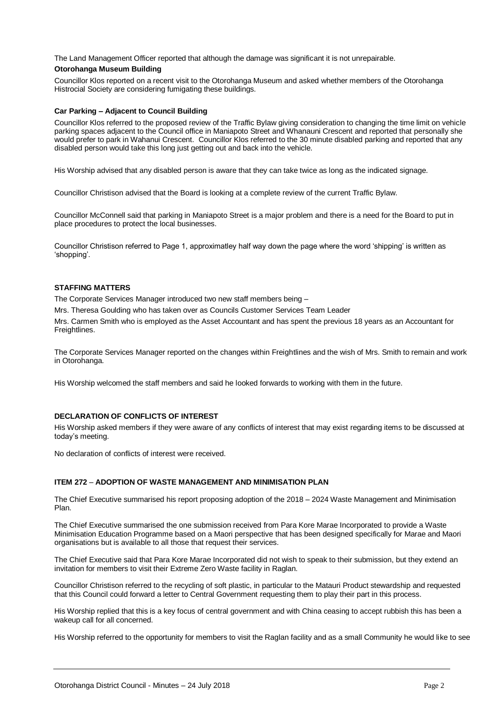The Land Management Officer reported that although the damage was significant it is not unrepairable.

#### **Otorohanga Museum Building**

Councillor Klos reported on a recent visit to the Otorohanga Museum and asked whether members of the Otorohanga Histrocial Society are considering fumigating these buildings.

#### **Car Parking – Adjacent to Council Building**

Councillor Klos referred to the proposed review of the Traffic Bylaw giving consideration to changing the time limit on vehicle parking spaces adjacent to the Council office in Maniapoto Street and Whanauni Crescent and reported that personally she would prefer to park in Wahanui Crescent. Councillor Klos referred to the 30 minute disabled parking and reported that any disabled person would take this long just getting out and back into the vehicle.

His Worship advised that any disabled person is aware that they can take twice as long as the indicated signage.

Councillor Christison advised that the Board is looking at a complete review of the current Traffic Bylaw.

Councillor McConnell said that parking in Maniapoto Street is a major problem and there is a need for the Board to put in place procedures to protect the local businesses.

Councillor Christison referred to Page 1, approximatley half way down the page where the word 'shipping' is written as 'shopping'.

#### **STAFFING MATTERS**

The Corporate Services Manager introduced two new staff members being –

Mrs. Theresa Goulding who has taken over as Councils Customer Services Team Leader

Mrs. Carmen Smith who is employed as the Asset Accountant and has spent the previous 18 years as an Accountant for Freightlines.

The Corporate Services Manager reported on the changes within Freightlines and the wish of Mrs. Smith to remain and work in Otorohanga.

His Worship welcomed the staff members and said he looked forwards to working with them in the future.

#### **DECLARATION OF CONFLICTS OF INTEREST**

His Worship asked members if they were aware of any conflicts of interest that may exist regarding items to be discussed at today's meeting.

No declaration of conflicts of interest were received.

#### **ITEM 272** – **ADOPTION OF WASTE MANAGEMENT AND MINIMISATION PLAN**

The Chief Executive summarised his report proposing adoption of the 2018 – 2024 Waste Management and Minimisation Plan.

The Chief Executive summarised the one submission received from Para Kore Marae Incorporated to provide a Waste Minimisation Education Programme based on a Maori perspective that has been designed specifically for Marae and Maori organisations but is available to all those that request their services.

The Chief Executive said that Para Kore Marae Incorporated did not wish to speak to their submission, but they extend an invitation for members to visit their Extreme Zero Waste facility in Raglan.

Councillor Christison referred to the recycling of soft plastic, in particular to the Matauri Product stewardship and requested that this Council could forward a letter to Central Government requesting them to play their part in this process.

His Worship replied that this is a key focus of central government and with China ceasing to accept rubbish this has been a wakeup call for all concerned.

His Worship referred to the opportunity for members to visit the Raglan facility and as a small Community he would like to see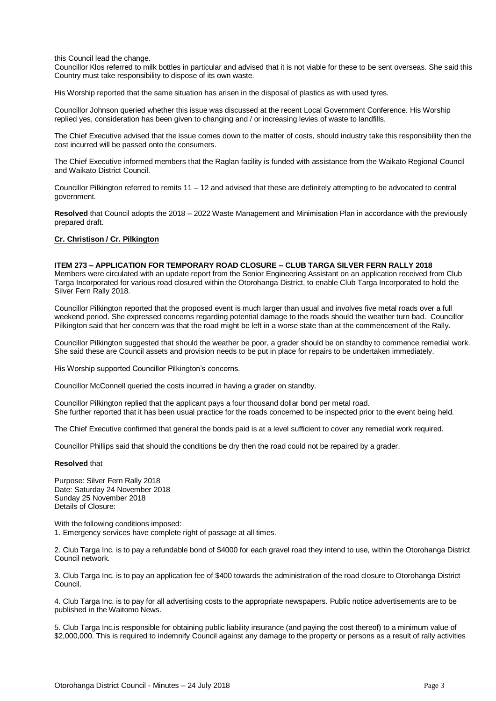#### this Council lead the change.

Councillor Klos referred to milk bottles in particular and advised that it is not viable for these to be sent overseas. She said this Country must take responsibility to dispose of its own waste.

His Worship reported that the same situation has arisen in the disposal of plastics as with used tyres.

Councillor Johnson queried whether this issue was discussed at the recent Local Government Conference. His Worship replied yes, consideration has been given to changing and / or increasing levies of waste to landfills.

The Chief Executive advised that the issue comes down to the matter of costs, should industry take this responsibility then the cost incurred will be passed onto the consumers.

The Chief Executive informed members that the Raglan facility is funded with assistance from the Waikato Regional Council and Waikato District Council.

Councillor Pilkington referred to remits  $11 - 12$  and advised that these are definitely attempting to be advocated to central government.

**Resolved** that Council adopts the 2018 – 2022 Waste Management and Minimisation Plan in accordance with the previously prepared draft.

#### **Cr. Christison / Cr. Pilkington**

#### **ITEM 273 – APPLICATION FOR TEMPORARY ROAD CLOSURE – CLUB TARGA SILVER FERN RALLY 2018**

Members were circulated with an update report from the Senior Engineering Assistant on an application received from Club Targa Incorporated for various road closured within the Otorohanga District, to enable Club Targa Incorporated to hold the Silver Fern Rally 2018.

Councillor Pilkington reported that the proposed event is much larger than usual and involves five metal roads over a full weekend period. She expressed concerns regarding potential damage to the roads should the weather turn bad. Councillor Pilkington said that her concern was that the road might be left in a worse state than at the commencement of the Rally.

Councillor Pilkington suggested that should the weather be poor, a grader should be on standby to commence remedial work. She said these are Council assets and provision needs to be put in place for repairs to be undertaken immediately.

His Worship supported Councillor Pilkington's concerns.

Councillor McConnell queried the costs incurred in having a grader on standby.

Councillor Pilkington replied that the applicant pays a four thousand dollar bond per metal road. She further reported that it has been usual practice for the roads concerned to be inspected prior to the event being held.

The Chief Executive confirmed that general the bonds paid is at a level sufficient to cover any remedial work required.

Councillor Phillips said that should the conditions be dry then the road could not be repaired by a grader.

#### **Resolved** that

Purpose: Silver Fern Rally 2018 Date: Saturday 24 November 2018 Sunday 25 November 2018 Details of Closure:

With the following conditions imposed:

1. Emergency services have complete right of passage at all times.

2. Club Targa Inc. is to pay a refundable bond of \$4000 for each gravel road they intend to use, within the Otorohanga District Council network.

3. Club Targa Inc. is to pay an application fee of \$400 towards the administration of the road closure to Otorohanga District Council.

4. Club Targa Inc. is to pay for all advertising costs to the appropriate newspapers. Public notice advertisements are to be published in the Waitomo News.

5. Club Targa Inc.is responsible for obtaining public liability insurance (and paying the cost thereof) to a minimum value of \$2,000,000. This is required to indemnify Council against any damage to the property or persons as a result of rally activities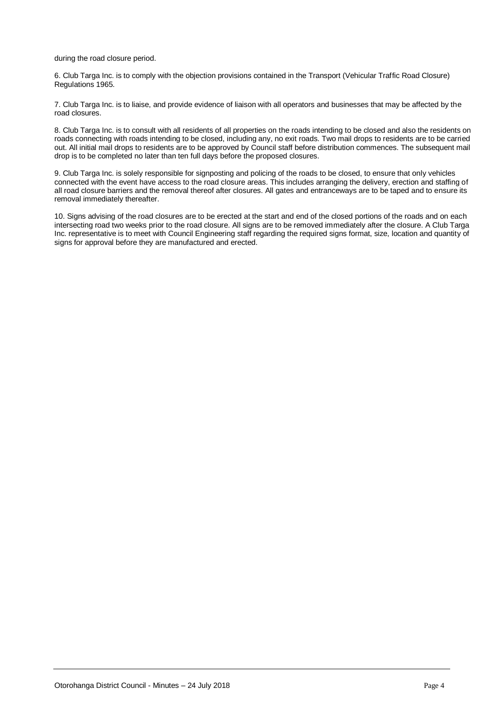during the road closure period.

6. Club Targa Inc. is to comply with the objection provisions contained in the Transport (Vehicular Traffic Road Closure) Regulations 1965.

7. Club Targa Inc. is to liaise, and provide evidence of liaison with all operators and businesses that may be affected by the road closures.

8. Club Targa Inc. is to consult with all residents of all properties on the roads intending to be closed and also the residents on roads connecting with roads intending to be closed, including any, no exit roads. Two mail drops to residents are to be carried out. All initial mail drops to residents are to be approved by Council staff before distribution commences. The subsequent mail drop is to be completed no later than ten full days before the proposed closures.

9. Club Targa Inc. is solely responsible for signposting and policing of the roads to be closed, to ensure that only vehicles connected with the event have access to the road closure areas. This includes arranging the delivery, erection and staffing of all road closure barriers and the removal thereof after closures. All gates and entranceways are to be taped and to ensure its removal immediately thereafter.

10. Signs advising of the road closures are to be erected at the start and end of the closed portions of the roads and on each intersecting road two weeks prior to the road closure. All signs are to be removed immediately after the closure. A Club Targa Inc. representative is to meet with Council Engineering staff regarding the required signs format, size, location and quantity of signs for approval before they are manufactured and erected.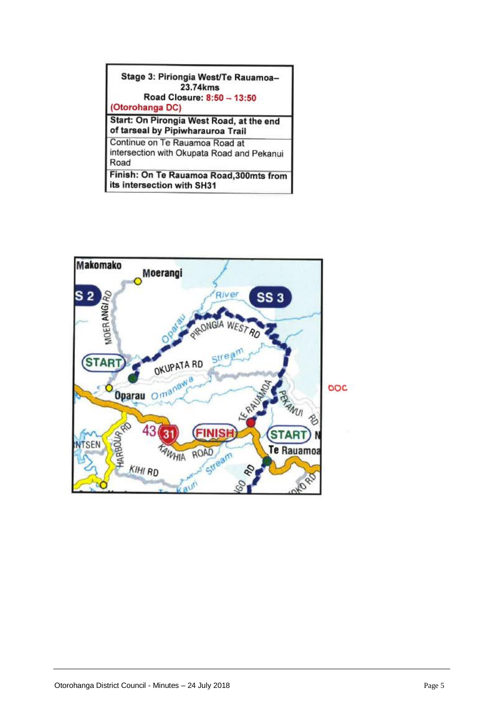#### Stage 3: Piriongia West/Te Rauamoa-23.74kms Road Closure: 8:50 - 13:50

(Otorohanga DC)

Start: On Pirongia West Road, at the end of tarseal by Pipiwharauroa Trail

Continue on Te Rauamoa Road at intersection with Okupata Road and Pekanui Road

Finish: On Te Rauamoa Road, 300mts from its intersection with SH31

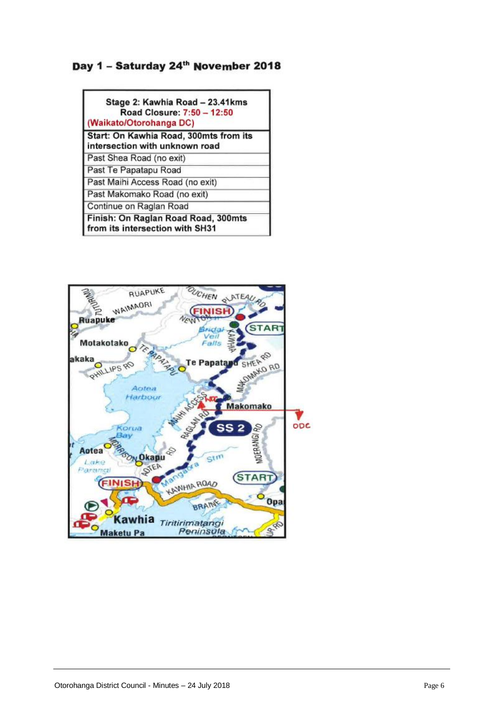### Day 1 - Saturday 24th November 2018

| Stage 2: Kawhia Road - 23.41kms<br>Road Closure: 7:50 - 12:50<br>(Waikato/Otorohanga DC) |  |
|------------------------------------------------------------------------------------------|--|
| Start: On Kawhia Road, 300mts from its<br>intersection with unknown road                 |  |
| Past Shea Road (no exit)                                                                 |  |
| Past Te Papatapu Road                                                                    |  |
| Past Maihi Access Road (no exit)                                                         |  |
| Past Makomako Road (no exit)                                                             |  |
| Continue on Raglan Road                                                                  |  |
| Finish: On Raglan Road Road, 300mts<br>from its intersection with SH31                   |  |

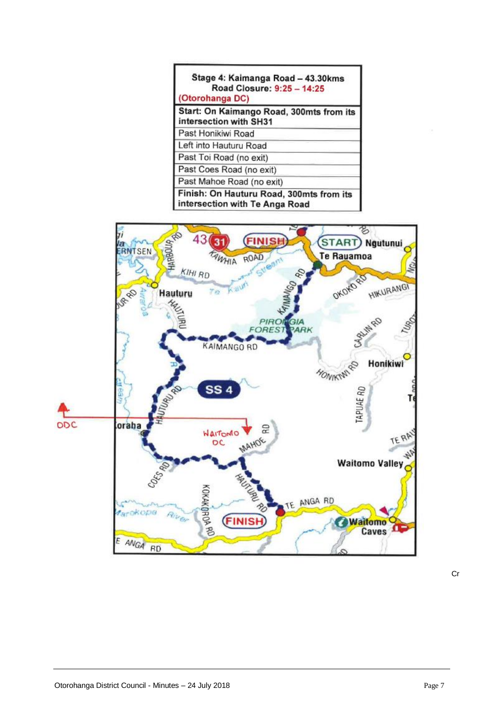| (Otorohanga DC)         | Stage 4: Kaimanga Road - 43.30kms<br>Road Closure: 9:25 - 14:25            |
|-------------------------|----------------------------------------------------------------------------|
|                         | Start: On Kaimango Road, 300mts from its<br>intersection with SH31         |
| Past Honikiwi Road      |                                                                            |
| Left into Hauturu Road  |                                                                            |
| Past Toi Road (no exit) |                                                                            |
|                         | Past Coes Road (no exit)                                                   |
|                         | Past Mahoe Road (no exit)                                                  |
|                         | Finish: On Hauturu Road, 300mts from its<br>intersection with Te Anga Road |



Cr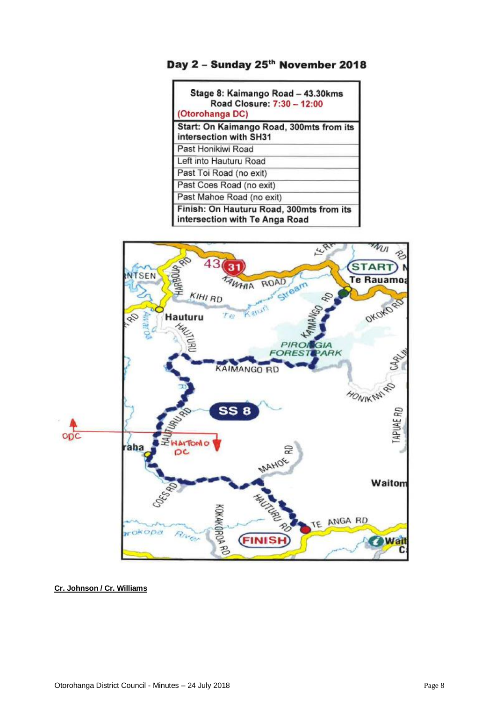

| Stage 8: Kaimango Road - 43.30kms<br>Road Closure: 7:30 - 12:00<br>(Otorohanga DC) |
|------------------------------------------------------------------------------------|
| Start: On Kaimango Road, 300mts from its<br>intersection with SH31                 |
| Past Honikiwi Road                                                                 |
| Left into Hauturu Road                                                             |
| Past Toi Road (no exit)                                                            |
| Past Coes Road (no exit)                                                           |
| Past Mahoe Road (no exit)                                                          |
| Finish: On Hauturu Road, 300mts from its<br>intersection with Te Anga Road         |



**Cr. Johnson / Cr. Williams**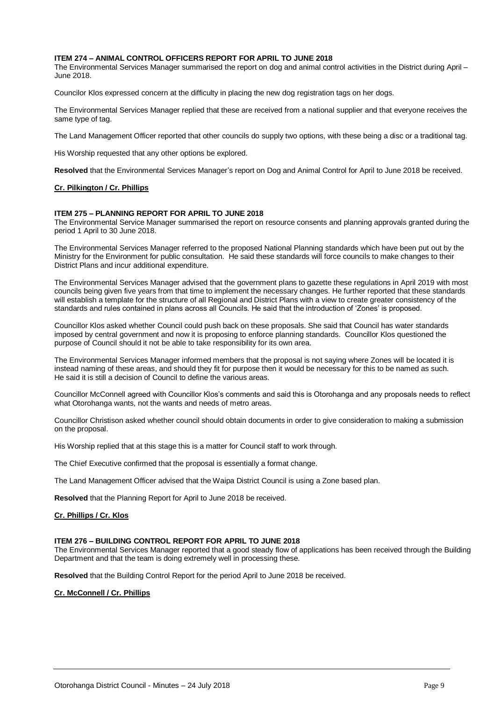#### **ITEM 274 – ANIMAL CONTROL OFFICERS REPORT FOR APRIL TO JUNE 2018**

The Environmental Services Manager summarised the report on dog and animal control activities in the District during April – June 2018.

Councilor Klos expressed concern at the difficulty in placing the new dog registration tags on her dogs.

The Environmental Services Manager replied that these are received from a national supplier and that everyone receives the same type of tag.

The Land Management Officer reported that other councils do supply two options, with these being a disc or a traditional tag.

His Worship requested that any other options be explored.

**Resolved** that the Environmental Services Manager's report on Dog and Animal Control for April to June 2018 be received.

#### **Cr. Pilkington / Cr. Phillips**

#### **ITEM 275 – PLANNING REPORT FOR APRIL TO JUNE 2018**

The Environmental Service Manager summarised the report on resource consents and planning approvals granted during the period 1 April to 30 June 2018.

The Environmental Services Manager referred to the proposed National Planning standards which have been put out by the Ministry for the Environment for public consultation. He said these standards will force councils to make changes to their District Plans and incur additional expenditure.

The Environmental Services Manager advised that the government plans to gazette these regulations in April 2019 with most councils being given five years from that time to implement the necessary changes. He further reported that these standards will establish a template for the structure of all Regional and District Plans with a view to create greater consistency of the standards and rules contained in plans across all Councils. He said that the introduction of 'Zones' is proposed.

Councillor Klos asked whether Council could push back on these proposals. She said that Council has water standards imposed by central government and now it is proposing to enforce planning standards. Councillor Klos questioned the purpose of Council should it not be able to take responsibility for its own area.

The Environmental Services Manager informed members that the proposal is not saying where Zones will be located it is instead naming of these areas, and should they fit for purpose then it would be necessary for this to be named as such. He said it is still a decision of Council to define the various areas.

Councillor McConnell agreed with Councillor Klos's comments and said this is Otorohanga and any proposals needs to reflect what Otorohanga wants, not the wants and needs of metro areas.

Councillor Christison asked whether council should obtain documents in order to give consideration to making a submission on the proposal.

His Worship replied that at this stage this is a matter for Council staff to work through.

The Chief Executive confirmed that the proposal is essentially a format change.

The Land Management Officer advised that the Waipa District Council is using a Zone based plan.

**Resolved** that the Planning Report for April to June 2018 be received.

#### **Cr. Phillips / Cr. Klos**

#### **ITEM 276 – BUILDING CONTROL REPORT FOR APRIL TO JUNE 2018**

The Environmental Services Manager reported that a good steady flow of applications has been received through the Building Department and that the team is doing extremely well in processing these.

**Resolved** that the Building Control Report for the period April to June 2018 be received.

#### **Cr. McConnell / Cr. Phillips**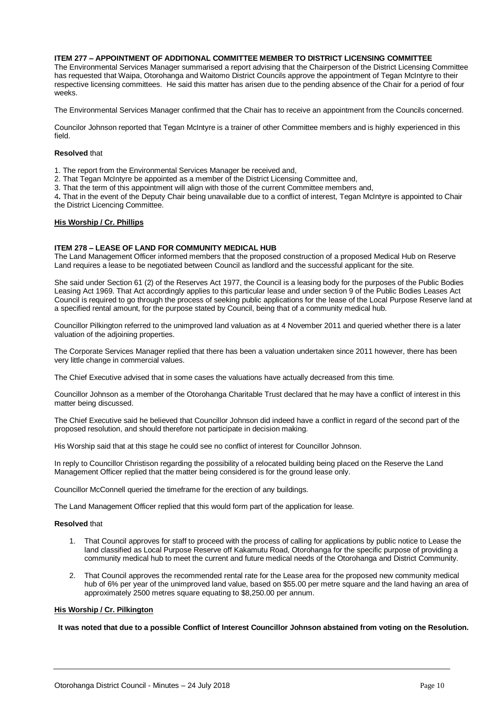#### **ITEM 277 – APPOINTMENT OF ADDITIONAL COMMITTEE MEMBER TO DISTRICT LICENSING COMMITTEE**

The Environmental Services Manager summarised a report advising that the Chairperson of the District Licensing Committee has requested that Waipa, Otorohanga and Waitomo District Councils approve the appointment of Tegan McIntyre to their respective licensing committees. He said this matter has arisen due to the pending absence of the Chair for a period of four weeks.

The Environmental Services Manager confirmed that the Chair has to receive an appointment from the Councils concerned.

Councilor Johnson reported that Tegan McIntyre is a trainer of other Committee members and is highly experienced in this field.

#### **Resolved** that

1. The report from the Environmental Services Manager be received and,

2. That Tegan McIntyre be appointed as a member of the District Licensing Committee and,

3. That the term of this appointment will align with those of the current Committee members and,

4**.** That in the event of the Deputy Chair being unavailable due to a conflict of interest, Tegan McIntyre is appointed to Chair the District Licencing Committee.

#### **His Worship / Cr. Phillips**

#### **ITEM 278 – LEASE OF LAND FOR COMMUNITY MEDICAL HUB**

The Land Management Officer informed members that the proposed construction of a proposed Medical Hub on Reserve Land requires a lease to be negotiated between Council as landlord and the successful applicant for the site.

She said under Section 61 (2) of the Reserves Act 1977, the Council is a leasing body for the purposes of the Public Bodies Leasing Act 1969. That Act accordingly applies to this particular lease and under section 9 of the Public Bodies Leases Act Council is required to go through the process of seeking public applications for the lease of the Local Purpose Reserve land at a specified rental amount, for the purpose stated by Council, being that of a community medical hub.

Councillor Pilkington referred to the unimproved land valuation as at 4 November 2011 and queried whether there is a later valuation of the adjoining properties.

The Corporate Services Manager replied that there has been a valuation undertaken since 2011 however, there has been very little change in commercial values.

The Chief Executive advised that in some cases the valuations have actually decreased from this time.

Councillor Johnson as a member of the Otorohanga Charitable Trust declared that he may have a conflict of interest in this matter being discussed.

The Chief Executive said he believed that Councillor Johnson did indeed have a conflict in regard of the second part of the proposed resolution, and should therefore not participate in decision making.

His Worship said that at this stage he could see no conflict of interest for Councillor Johnson.

In reply to Councillor Christison regarding the possibility of a relocated building being placed on the Reserve the Land Management Officer replied that the matter being considered is for the ground lease only.

Councillor McConnell queried the timeframe for the erection of any buildings.

The Land Management Officer replied that this would form part of the application for lease.

#### **Resolved** that

- 1. That Council approves for staff to proceed with the process of calling for applications by public notice to Lease the land classified as Local Purpose Reserve off Kakamutu Road, Otorohanga for the specific purpose of providing a community medical hub to meet the current and future medical needs of the Otorohanga and District Community.
- 2. That Council approves the recommended rental rate for the Lease area for the proposed new community medical hub of 6% per year of the unimproved land value, based on \$55.00 per metre square and the land having an area of approximately 2500 metres square equating to \$8,250.00 per annum.

#### **His Worship / Cr. Pilkington**

**It was noted that due to a possible Conflict of Interest Councillor Johnson abstained from voting on the Resolution.**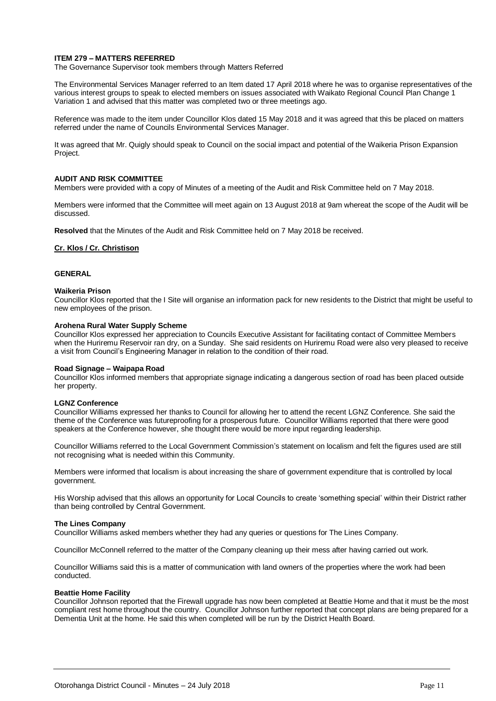#### **ITEM 279 – MATTERS REFERRED**

The Governance Supervisor took members through Matters Referred

The Environmental Services Manager referred to an Item dated 17 April 2018 where he was to organise representatives of the various interest groups to speak to elected members on issues associated with Waikato Regional Council Plan Change 1 Variation 1 and advised that this matter was completed two or three meetings ago.

Reference was made to the item under Councillor Klos dated 15 May 2018 and it was agreed that this be placed on matters referred under the name of Councils Environmental Services Manager.

It was agreed that Mr. Quigly should speak to Council on the social impact and potential of the Waikeria Prison Expansion Project.

#### **AUDIT AND RISK COMMITTEE**

Members were provided with a copy of Minutes of a meeting of the Audit and Risk Committee held on 7 May 2018.

Members were informed that the Committee will meet again on 13 August 2018 at 9am whereat the scope of the Audit will be discussed.

**Resolved** that the Minutes of the Audit and Risk Committee held on 7 May 2018 be received.

#### **Cr. Klos / Cr. Christison**

#### **GENERAL**

#### **Waikeria Prison**

Councillor Klos reported that the I Site will organise an information pack for new residents to the District that might be useful to new employees of the prison.

#### **Arohena Rural Water Supply Scheme**

Councillor Klos expressed her appreciation to Councils Executive Assistant for facilitating contact of Committee Members when the Huriremu Reservoir ran dry, on a Sunday. She said residents on Huriremu Road were also very pleased to receive a visit from Council's Engineering Manager in relation to the condition of their road.

#### **Road Signage – Waipapa Road**

Councillor Klos informed members that appropriate signage indicating a dangerous section of road has been placed outside her property.

#### **LGNZ Conference**

Councillor Williams expressed her thanks to Council for allowing her to attend the recent LGNZ Conference. She said the theme of the Conference was futureproofing for a prosperous future. Councillor Williams reported that there were good speakers at the Conference however, she thought there would be more input regarding leadership.

Councillor Williams referred to the Local Government Commission's statement on localism and felt the figures used are still not recognising what is needed within this Community.

Members were informed that localism is about increasing the share of government expenditure that is controlled by local government.

His Worship advised that this allows an opportunity for Local Councils to create 'something special' within their District rather than being controlled by Central Government.

#### **The Lines Company**

Councillor Williams asked members whether they had any queries or questions for The Lines Company.

Councillor McConnell referred to the matter of the Company cleaning up their mess after having carried out work.

Councillor Williams said this is a matter of communication with land owners of the properties where the work had been conducted.

#### **Beattie Home Facility**

Councillor Johnson reported that the Firewall upgrade has now been completed at Beattie Home and that it must be the most compliant rest home throughout the country. Councillor Johnson further reported that concept plans are being prepared for a Dementia Unit at the home. He said this when completed will be run by the District Health Board.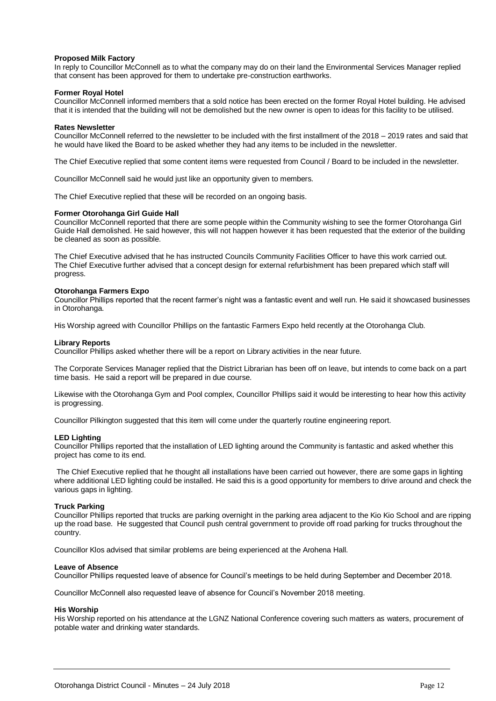#### **Proposed Milk Factory**

In reply to Councillor McConnell as to what the company may do on their land the Environmental Services Manager replied that consent has been approved for them to undertake pre-construction earthworks.

#### **Former Royal Hotel**

Councillor McConnell informed members that a sold notice has been erected on the former Royal Hotel building. He advised that it is intended that the building will not be demolished but the new owner is open to ideas for this facility to be utilised.

#### **Rates Newsletter**

Councillor McConnell referred to the newsletter to be included with the first installment of the 2018 – 2019 rates and said that he would have liked the Board to be asked whether they had any items to be included in the newsletter.

The Chief Executive replied that some content items were requested from Council / Board to be included in the newsletter.

Councillor McConnell said he would just like an opportunity given to members.

The Chief Executive replied that these will be recorded on an ongoing basis.

#### **Former Otorohanga Girl Guide Hall**

Councillor McConnell reported that there are some people within the Community wishing to see the former Otorohanga Girl Guide Hall demolished. He said however, this will not happen however it has been requested that the exterior of the building be cleaned as soon as possible.

The Chief Executive advised that he has instructed Councils Community Facilities Officer to have this work carried out. The Chief Executive further advised that a concept design for external refurbishment has been prepared which staff will progress.

#### **Otorohanga Farmers Expo**

Councillor Phillips reported that the recent farmer's night was a fantastic event and well run. He said it showcased businesses in Otorohanga.

His Worship agreed with Councillor Phillips on the fantastic Farmers Expo held recently at the Otorohanga Club.

#### **Library Reports**

Councillor Phillips asked whether there will be a report on Library activities in the near future.

The Corporate Services Manager replied that the District Librarian has been off on leave, but intends to come back on a part time basis. He said a report will be prepared in due course.

Likewise with the Otorohanga Gym and Pool complex, Councillor Phillips said it would be interesting to hear how this activity is progressing.

Councillor Pilkington suggested that this item will come under the quarterly routine engineering report.

#### **LED Lighting**

Councillor Phillips reported that the installation of LED lighting around the Community is fantastic and asked whether this project has come to its end.

The Chief Executive replied that he thought all installations have been carried out however, there are some gaps in lighting where additional LED lighting could be installed. He said this is a good opportunity for members to drive around and check the various gaps in lighting.

#### **Truck Parking**

Councillor Phillips reported that trucks are parking overnight in the parking area adjacent to the Kio Kio School and are ripping up the road base. He suggested that Council push central government to provide off road parking for trucks throughout the country.

Councillor Klos advised that similar problems are being experienced at the Arohena Hall.

#### **Leave of Absence**

Councillor Phillips requested leave of absence for Council's meetings to be held during September and December 2018.

Councillor McConnell also requested leave of absence for Council's November 2018 meeting.

#### **His Worship**

His Worship reported on his attendance at the LGNZ National Conference covering such matters as waters, procurement of potable water and drinking water standards.